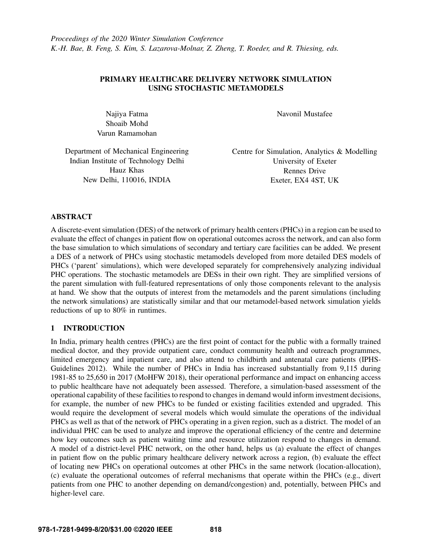# PRIMARY HEALTHCARE DELIVERY NETWORK SIMULATION USING STOCHASTIC METAMODELS

Najiya Fatma Shoaib Mohd Varun Ramamohan Navonil Mustafee

Department of Mechanical Engineering Indian Institute of Technology Delhi Hauz Khas New Delhi, 110016, INDIA

Centre for Simulation, Analytics & Modelling University of Exeter Rennes Drive Exeter, EX4 4ST, UK

## ABSTRACT

A discrete-event simulation (DES) of the network of primary health centers (PHCs) in a region can be used to evaluate the effect of changes in patient flow on operational outcomes across the network, and can also form the base simulation to which simulations of secondary and tertiary care facilities can be added. We present a DES of a network of PHCs using stochastic metamodels developed from more detailed DES models of PHCs ('parent' simulations), which were developed separately for comprehensively analyzing individual PHC operations. The stochastic metamodels are DESs in their own right. They are simplified versions of the parent simulation with full-featured representations of only those components relevant to the analysis at hand. We show that the outputs of interest from the metamodels and the parent simulations (including the network simulations) are statistically similar and that our metamodel-based network simulation yields reductions of up to 80% in runtimes.

# 1 INTRODUCTION

In India, primary health centres (PHCs) are the first point of contact for the public with a formally trained medical doctor, and they provide outpatient care, conduct community health and outreach programmes, limited emergency and inpatient care, and also attend to childbirth and antenatal care patients [\(IPHS-](#page-10-0)[Guidelines 2012\)](#page-10-0). While the number of PHCs in India has increased substantially from 9,115 during 1981-85 to 25,650 in 2017 [\(MoHFW 2018\)](#page-11-0), their operational performance and impact on enhancing access to public healthcare have not adequately been assessed. Therefore, a simulation-based assessment of the operational capability of these facilities to respond to changes in demand would inform investment decisions, for example, the number of new PHCs to be funded or existing facilities extended and upgraded. This would require the development of several models which would simulate the operations of the individual PHCs as well as that of the network of PHCs operating in a given region, such as a district. The model of an individual PHC can be used to analyze and improve the operational efficiency of the centre and determine how key outcomes such as patient waiting time and resource utilization respond to changes in demand. A model of a district-level PHC network, on the other hand, helps us (a) evaluate the effect of changes in patient flow on the public primary healthcare delivery network across a region, (b) evaluate the effect of locating new PHCs on operational outcomes at other PHCs in the same network (location-allocation), (c) evaluate the operational outcomes of referral mechanisms that operate within the PHCs (e.g., divert patients from one PHC to another depending on demand/congestion) and, potentially, between PHCs and higher-level care.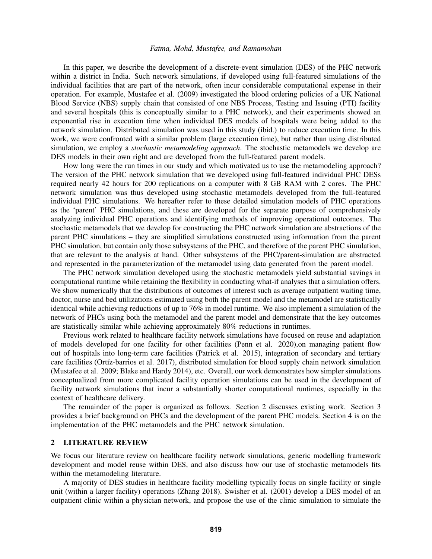In this paper, we describe the development of a discrete-event simulation (DES) of the PHC network within a district in India. Such network simulations, if developed using full-featured simulations of the individual facilities that are part of the network, often incur considerable computational expense in their operation. For example, [Mustafee et al. \(2009\)](#page-11-1) investigated the blood ordering policies of a UK National Blood Service (NBS) supply chain that consisted of one NBS Process, Testing and Issuing (PTI) facility and several hospitals (this is conceptually similar to a PHC network), and their experiments showed an exponential rise in execution time when individual DES models of hospitals were being added to the network simulation. Distributed simulation was used in this study (ibid.) to reduce execution time. In this work, we were confronted with a similar problem (large execution time), but rather than using distributed simulation, we employ a *stochastic metamodeling approach*. The stochastic metamodels we develop are DES models in their own right and are developed from the full-featured parent models.

How long were the run times in our study and which motivated us to use the metamodeling approach? The version of the PHC network simulation that we developed using full-featured individual PHC DESs required nearly 42 hours for 200 replications on a computer with 8 GB RAM with 2 cores. The PHC network simulation was thus developed using stochastic metamodels developed from the full-featured individual PHC simulations. We hereafter refer to these detailed simulation models of PHC operations as the 'parent' PHC simulations, and these are developed for the separate purpose of comprehensively analyzing individual PHC operations and identifying methods of improving operational outcomes. The stochastic metamodels that we develop for constructing the PHC network simulation are abstractions of the parent PHC simulations – they are simplified simulations constructed using information from the parent PHC simulation, but contain only those subsystems of the PHC, and therefore of the parent PHC simulation, that are relevant to the analysis at hand. Other subsystems of the PHC/parent-simulation are abstracted and represented in the parameterization of the metamodel using data generated from the parent model.

The PHC network simulation developed using the stochastic metamodels yield substantial savings in computational runtime while retaining the flexibility in conducting what-if analyses that a simulation offers. We show numerically that the distributions of outcomes of interest such as average outpatient waiting time, doctor, nurse and bed utilizations estimated using both the parent model and the metamodel are statistically identical while achieving reductions of up to 76% in model runtime. We also implement a simulation of the network of PHCs using both the metamodel and the parent model and demonstrate that the key outcomes are statistically similar while achieving approximately 80% reductions in runtimes.

Previous work related to healthcare facility network simulations have focused on reuse and adaptation of models developed for one facility for other facilities [\(Penn et al. 2020\)](#page-11-2),on managing patient flow out of hospitals into long-term care facilities [\(Patrick et al. 2015\)](#page-11-3), integration of secondary and tertiary care facilities (Ortíz-barrios et al. 2017), distributed simulation for blood supply chain network simulation [\(Mustafee et al. 2009;](#page-11-1) [Blake and Hardy 2014\)](#page-10-1), etc. Overall, our work demonstrates how simpler simulations conceptualized from more complicated facility operation simulations can be used in the development of facility network simulations that incur a substantially shorter computational runtimes, especially in the context of healthcare delivery.

The remainder of the paper is organized as follows. Section 2 discusses existing work. Section 3 provides a brief background on PHCs and the development of the parent PHC models. Section 4 is on the implementation of the PHC metamodels and the PHC network simulation.

### 2 LITERATURE REVIEW

We focus our literature review on healthcare facility network simulations, generic modelling framework development and model reuse within DES, and also discuss how our use of stochastic metamodels fits within the metamodeling literature.

A majority of DES studies in healthcare facility modelling typically focus on single facility or single unit (within a larger facility) operations [\(Zhang 2018\)](#page-11-5). [Swisher et al. \(2001\)](#page-11-6) develop a DES model of an outpatient clinic within a physician network, and propose the use of the clinic simulation to simulate the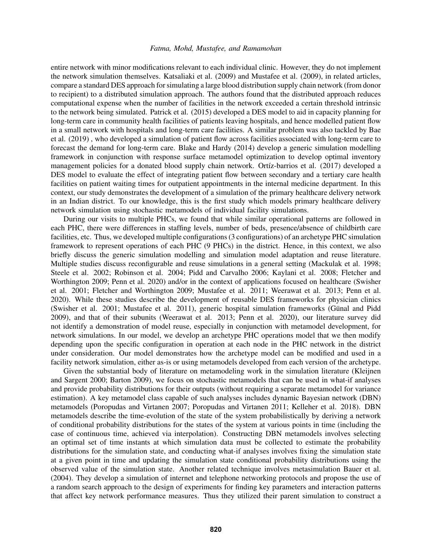entire network with minor modifications relevant to each individual clinic. However, they do not implement the network simulation themselves. [Katsaliaki et al. \(2009\)](#page-10-2) and [Mustafee et al. \(2009\),](#page-11-1) in related articles, compare a standard DES approach for simulating a large blood distribution supply chain network (from donor to recipient) to a distributed simulation approach. The authors found that the distributed approach reduces computational expense when the number of facilities in the network exceeded a certain threshold intrinsic to the network being simulated. [Patrick et al. \(2015\)](#page-11-3) developed a DES model to aid in capacity planning for long-term care in community health facilities of patients leaving hospitals, and hence modelled patient flow in a small network with hospitals and long-term care facilities. A similar problem was also tackled by [Bae](#page-10-3) [et al. \(2019\)](#page-10-3) , who developed a simulation of patient flow across facilities associated with long-term care to forecast the demand for long-term care. [Blake and Hardy \(2014\)](#page-10-1) develop a generic simulation modelling framework in conjunction with response surface metamodel optimization to develop optimal inventory management policies for a donated blood supply chain network. Ortíz-barrios et al. (2017) developed a DES model to evaluate the effect of integrating patient flow between secondary and a tertiary care health facilities on patient waiting times for outpatient appointments in the internal medicine department. In this context, our study demonstrates the development of a simulation of the primary healthcare delivery network in an Indian district. To our knowledge, this is the first study which models primary healthcare delivery network simulation using stochastic metamodels of individual facility simulations.

During our visits to multiple PHCs, we found that while similar operational patterns are followed in each PHC, there were differences in staffing levels, number of beds, presence/absence of childbirth care facilities, etc. Thus, we developed multiple configurations (3 configurations) of an archetype PHC simulation framework to represent operations of each PHC (9 PHCs) in the district. Hence, in this context, we also briefly discuss the generic simulation modelling and simulation model adaptation and reuse literature. Multiple studies discuss reconfigurable and reuse simulations in a general setting [\(Mackulak et al. 1998;](#page-11-7) [Steele et al. 2002;](#page-11-8) [Robinson et al. 2004;](#page-11-9) [Pidd and Carvalho 2006;](#page-11-10) [Kaylani et al. 2008;](#page-10-4) [Fletcher and](#page-10-5) [Worthington 2009;](#page-10-5) [Penn et al. 2020\)](#page-11-2) and/or in the context of applications focused on healthcare [\(Swisher](#page-11-6) [et al. 2001;](#page-11-6) [Fletcher and Worthington 2009;](#page-10-5) [Mustafee et al. 2011;](#page-11-11) [Weerawat et al. 2013;](#page-11-12) [Penn et al.](#page-11-2) [2020\)](#page-11-2). While these studies describe the development of reusable DES frameworks for physician clinics [\(Swisher et al. 2001;](#page-11-6) [Mustafee et al. 2011\)](#page-11-11), generic hospital simulation frameworks (Günal and Pidd [2009\)](#page-10-6), and that of their subunits [\(Weerawat et al. 2013;](#page-11-12) [Penn et al. 2020\)](#page-11-2), our literature survey did not identify a demonstration of model reuse, especially in conjunction with metamodel development, for network simulations. In our model, we develop an archetype PHC operations model that we then modify depending upon the specific configuration in operation at each node in the PHC network in the district under consideration. Our model demonstrates how the archetype model can be modified and used in a facility network simulation, either as-is or using metamodels developed from each version of the archetype.

Given the substantial body of literature on metamodeling work in the simulation literature [\(Kleijnen](#page-10-7) [and Sargent 2000;](#page-10-7) [Barton 2009\)](#page-10-8), we focus on stochastic metamodels that can be used in what-if analyses and provide probability distributions for their outputs (without requiring a separate metamodel for variance estimation). A key metamodel class capable of such analyses includes dynamic Bayesian network (DBN) metamodels [\(Poropudas and Virtanen 2007;](#page-11-13) [Poropudas and Virtanen 2011;](#page-11-14) [Kelleher et al. 2018\)](#page-10-9). DBN metamodels describe the time-evolution of the state of the system probabilistically by deriving a network of conditional probability distributions for the states of the system at various points in time (including the case of continuous time, achieved via interpolation). Constructing DBN metamodels involves selecting an optimal set of time instants at which simulation data must be collected to estimate the probability distributions for the simulation state, and conducting what-if analyses involves fixing the simulation state at a given point in time and updating the simulation state conditional probability distributions using the observed value of the simulation state. Another related technique involves metasimulation [Bauer et al.](#page-10-10) [\(2004\).](#page-10-10) They develop a simulation of internet and telephone networking protocols and propose the use of a random search approach to the design of experiments for finding key parameters and interaction patterns that affect key network performance measures. Thus they utilized their parent simulation to construct a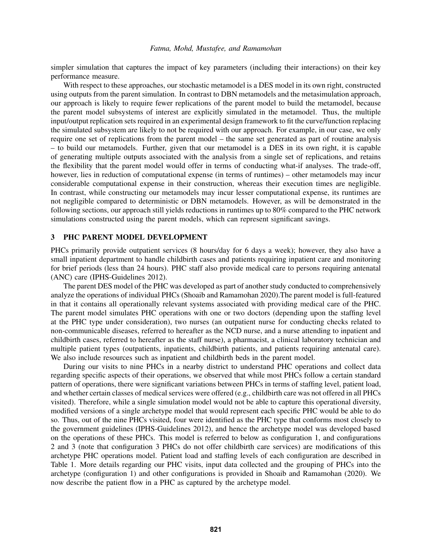simpler simulation that captures the impact of key parameters (including their interactions) on their key performance measure.

With respect to these approaches, our stochastic metamodel is a DES model in its own right, constructed using outputs from the parent simulation. In contrast to DBN metamodels and the metasimulation approach, our approach is likely to require fewer replications of the parent model to build the metamodel, because the parent model subsystems of interest are explicitly simulated in the metamodel. Thus, the multiple input/output replication sets required in an experimental design framework to fit the curve/function replacing the simulated subsystem are likely to not be required with our approach. For example, in our case, we only require one set of replications from the parent model – the same set generated as part of routine analysis – to build our metamodels. Further, given that our metamodel is a DES in its own right, it is capable of generating multiple outputs associated with the analysis from a single set of replications, and retains the flexibility that the parent model would offer in terms of conducting what-if analyses. The trade-off, however, lies in reduction of computational expense (in terms of runtimes) – other metamodels may incur considerable computational expense in their construction, whereas their execution times are negligible. In contrast, while constructing our metamodels may incur lesser computational expense, its runtimes are not negligible compared to deterministic or DBN metamodels. However, as will be demonstrated in the following sections, our approach still yields reductions in runtimes up to 80% compared to the PHC network simulations constructed using the parent models, which can represent significant savings.

## 3 PHC PARENT MODEL DEVELOPMENT

PHCs primarily provide outpatient services (8 hours/day for 6 days a week); however, they also have a small inpatient department to handle childbirth cases and patients requiring inpatient care and monitoring for brief periods (less than 24 hours). PHC staff also provide medical care to persons requiring antenatal (ANC) care [\(IPHS-Guidelines 2012\)](#page-10-0).

The parent DES model of the PHC was developed as part of another study conducted to comprehensively analyze the operations of individual PHCs [\(Shoaib and Ramamohan 2020\)](#page-11-15).The parent model is full-featured in that it contains all operationally relevant systems associated with providing medical care of the PHC. The parent model simulates PHC operations with one or two doctors (depending upon the staffing level at the PHC type under consideration), two nurses (an outpatient nurse for conducting checks related to non-communicable diseases, referred to hereafter as the NCD nurse, and a nurse attending to inpatient and childbirth cases, referred to hereafter as the staff nurse), a pharmacist, a clinical laboratory technician and multiple patient types (outpatients, inpatients, childbirth patients, and patients requiring antenatal care). We also include resources such as inpatient and childbirth beds in the parent model.

During our visits to nine PHCs in a nearby district to understand PHC operations and collect data regarding specific aspects of their operations, we observed that while most PHCs follow a certain standard pattern of operations, there were significant variations between PHCs in terms of staffing level, patient load, and whether certain classes of medical services were offered (e.g., childbirth care was not offered in all PHCs visited). Therefore, while a single simulation model would not be able to capture this operational diversity, modified versions of a single archetype model that would represent each specific PHC would be able to do so. Thus, out of the nine PHCs visited, four were identified as the PHC type that conforms most closely to the government guidelines [\(IPHS-Guidelines 2012\)](#page-10-0), and hence the archetype model was developed based on the operations of these PHCs. This model is referred to below as configuration 1, and configurations 2 and 3 (note that configuration 3 PHCs do not offer childbirth care services) are modifications of this archetype PHC operations model. Patient load and staffing levels of each configuration are described in Table [1.](#page-4-0) More details regarding our PHC visits, input data collected and the grouping of PHCs into the archetype (configuration 1) and other configurations is provided in [Shoaib and Ramamohan \(2020\).](#page-11-15) We now describe the patient flow in a PHC as captured by the archetype model.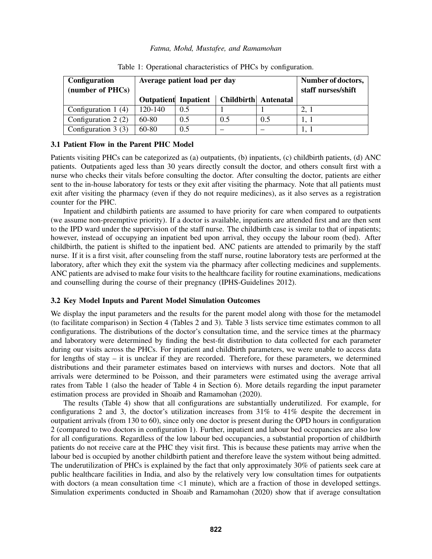| <b>Configuration</b><br>(number of PHCs) | Average patient load per day |     |                      |     | Number of doctors,<br>staff nurses/shift |
|------------------------------------------|------------------------------|-----|----------------------|-----|------------------------------------------|
|                                          | <b>Outpatient</b> Inpatient  |     | Childbirth Antenatal |     |                                          |
| Configuration $1(4)$                     | 120-140                      | 0.5 |                      |     | 2, 1                                     |
| Configuration $2(2)$                     | $60-80$                      | 0.5 | 0.5                  | 0.5 |                                          |
| Configuration $3(3)$                     | 60-80                        | 0.5 |                      |     |                                          |

<span id="page-4-0"></span>Table 1: Operational characteristics of PHCs by configuration.

## 3.1 Patient Flow in the Parent PHC Model

Patients visiting PHCs can be categorized as (a) outpatients, (b) inpatients, (c) childbirth patients, (d) ANC patients. Outpatients aged less than 30 years directly consult the doctor, and others consult first with a nurse who checks their vitals before consulting the doctor. After consulting the doctor, patients are either sent to the in-house laboratory for tests or they exit after visiting the pharmacy. Note that all patients must exit after visiting the pharmacy (even if they do not require medicines), as it also serves as a registration counter for the PHC.

Inpatient and childbirth patients are assumed to have priority for care when compared to outpatients (we assume non-preemptive priority). If a doctor is available, inpatients are attended first and are then sent to the IPD ward under the supervision of the staff nurse. The childbirth case is similar to that of inpatients; however, instead of occupying an inpatient bed upon arrival, they occupy the labour room (bed). After childbirth, the patient is shifted to the inpatient bed. ANC patients are attended to primarily by the staff nurse. If it is a first visit, after counseling from the staff nurse, routine laboratory tests are performed at the laboratory, after which they exit the system via the pharmacy after collecting medicines and supplements. ANC patients are advised to make four visits to the healthcare facility for routine examinations, medications and counselling during the course of their pregnancy [\(IPHS-Guidelines 2012\)](#page-10-0).

#### 3.2 Key Model Inputs and Parent Model Simulation Outcomes

We display the input parameters and the results for the parent model along with those for the metamodel (to facilitate comparison) in Section 4 (Tables [2](#page-7-0) and [3\)](#page-8-0). Table [3](#page-8-0) lists service time estimates common to all configurations. The distributions of the doctor's consultation time, and the service times at the pharmacy and laboratory were determined by finding the best-fit distribution to data collected for each parameter during our visits across the PHCs. For inpatient and childbirth parameters, we were unable to access data for lengths of stay – it is unclear if they are recorded. Therefore, for these parameters, we determined distributions and their parameter estimates based on interviews with nurses and doctors. Note that all arrivals were determined to be Poisson, and their parameters were estimated using the average arrival rates from Table [1](#page-4-0) (also the header of Table [4](#page-9-0) in Section 6). More details regarding the input parameter estimation process are provided in [Shoaib and Ramamohan \(2020\).](#page-11-15)

The results (Table [4\)](#page-9-0) show that all configurations are substantially underutilized. For example, for configurations 2 and 3, the doctor's utilization increases from  $31\%$  to  $41\%$  despite the decrement in outpatient arrivals (from 130 to 60), since only one doctor is present during the OPD hours in configuration 2 (compared to two doctors in configuration 1). Further, inpatient and labour bed occupancies are also low for all configurations. Regardless of the low labour bed occupancies, a substantial proportion of childbirth patients do not receive care at the PHC they visit first. This is because these patients may arrive when the labour bed is occupied by another childbirth patient and therefore leave the system without being admitted. The underutilization of PHCs is explained by the fact that only approximately 30% of patients seek care at public healthcare facilities in India, and also by the relatively very low consultation times for outpatients with doctors (a mean consultation time  $\langle 1 \text{ minute} \rangle$ , which are a fraction of those in developed settings. Simulation experiments conducted in [Shoaib and Ramamohan \(2020\)](#page-11-15) show that if average consultation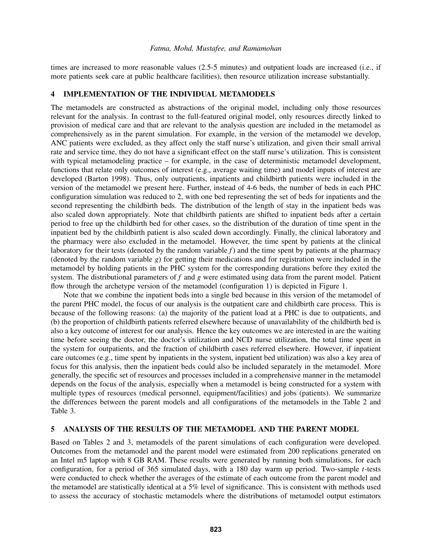times are increased to more reasonable values (2.5-5 minutes) and outpatient loads are increased (i.e., if more patients seek care at public healthcare facilities), then resource utilization increase substantially.

### 4 IMPLEMENTATION OF THE INDIVIDUAL METAMODELS

The metamodels are constructed as abstractions of the original model, including only those resources relevant for the analysis. In contrast to the full-featured original model, only resources directly linked to provision of medical care and that are relevant to the analysis question are included in the metamodel as comprehensively as in the parent simulation. For example, in the version of the metamodel we develop, ANC patients were excluded, as they affect only the staff nurse's utilization, and given their small arrival rate and service time, they do not have a significant effect on the staff nurse's utilization. This is consistent with typical metamodeling practice – for example, in the case of deterministic metamodel development, functions that relate only outcomes of interest (e.g., average waiting time) and model inputs of interest are developed [\(Barton 1998\)](#page-10-11). Thus, only outpatients, inpatients and childbirth patients were included in the version of the metamodel we present here. Further, instead of 4-6 beds, the number of beds in each PHC configuration simulation was reduced to 2, with one bed representing the set of beds for inpatients and the second representing the childbirth beds. The distribution of the length of stay in the inpatient beds was also scaled down appropriately. Note that childbirth patients are shifted to inpatient beds after a certain period to free up the childbirth bed for other cases, so the distribution of the duration of time spent in the inpatient bed by the childbirth patient is also scaled down accordingly. Finally, the clinical laboratory and the pharmacy were also excluded in the metamodel. However, the time spent by patients at the clinical laboratory for their tests (denoted by the random variable *f*) and the time spent by patients at the pharmacy (denoted by the random variable *g*) for getting their medications and for registration were included in the metamodel by holding patients in the PHC system for the corresponding durations before they exited the system. The distributional parameters of *f* and *g* were estimated using data from the parent model. Patient flow through the archetype version of the metamodel (configuration 1) is depicted in Figure [1.](#page-6-0)

Note that we combine the inpatient beds into a single bed because in this version of the metamodel of the parent PHC model, the focus of our analysis is the outpatient care and childbirth care process. This is because of the following reasons: (a) the majority of the patient load at a PHC is due to outpatients, and (b) the proportion of childbirth patients referred elsewhere because of unavailability of the childbirth bed is also a key outcome of interest for our analysis. Hence the key outcomes we are interested in are the waiting time before seeing the doctor, the doctor's utilization and NCD nurse utilization, the total time spent in the system for outpatients, and the fraction of childbirth cases referred elsewhere. However, if inpatient care outcomes (e.g., time spent by inpatients in the system, inpatient bed utilization) was also a key area of focus for this analysis, then the inpatient beds could also be included separately in the metamodel. More generally, the specific set of resources and processes included in a comprehensive manner in the metamodel depends on the focus of the analysis, especially when a metamodel is being constructed for a system with multiple types of resources (medical personnel, equipment/facilities) and jobs (patients). We summarize the differences between the parent models and all configurations of the metamodels in the Table [2](#page-7-0) and Table [3.](#page-8-0)

#### 5 ANALYSIS OF THE RESULTS OF THE METAMODEL AND THE PARENT MODEL

Based on Tables [2](#page-7-0) and [3,](#page-8-0) metamodels of the parent simulations of each configuration were developed. Outcomes from the metamodel and the parent model were estimated from 200 replications generated on an Intel m5 laptop with 8 GB RAM. These results were generated by running both simulations, for each configuration, for a period of 365 simulated days, with a 180 day warm up period. Two-sample *t*-tests were conducted to check whether the averages of the estimate of each outcome from the parent model and the metamodel are statistically identical at a 5% level of significance. This is consistent with methods used to assess the accuracy of stochastic metamodels where the distributions of metamodel output estimators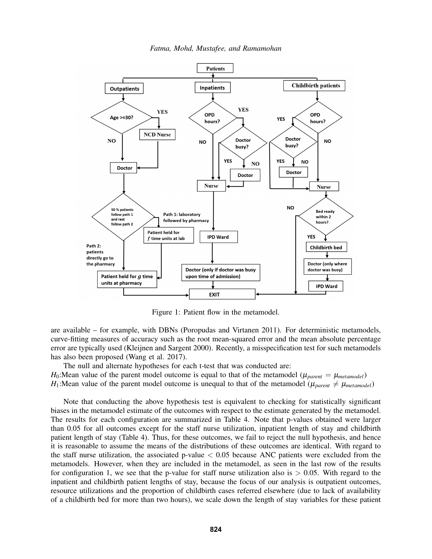



<span id="page-6-0"></span>Figure 1: Patient flow in the metamodel.

are available – for example, with DBNs [\(Poropudas and Virtanen 2011\)](#page-11-14). For deterministic metamodels, curve-fitting measures of accuracy such as the root mean-squared error and the mean absolute percentage error are typically used [\(Kleijnen and Sargent 2000\)](#page-10-7). Recently, a misspecification test for such metamodels has also been proposed [\(Wang et al. 2017\)](#page-11-16).

The null and alternate hypotheses for each t-test that was conducted are: *H*<sub>0</sub>: Mean value of the parent model outcome is equal to that of the metamodel ( $\mu_{parent} = \mu_{metamodel}$ )

*H*<sub>1</sub>:Mean value of the parent model outcome is unequal to that of the metamodel ( $\mu_{parent} \neq \mu_{metamodel}$ )

Note that conducting the above hypothesis test is equivalent to checking for statistically significant biases in the metamodel estimate of the outcomes with respect to the estimate generated by the metamodel. The results for each configuration are summarized in Table [4.](#page-9-0) Note that p-values obtained were larger than 0.05 for all outcomes except for the staff nurse utilization, inpatient length of stay and childbirth patient length of stay (Table [4\)](#page-9-0). Thus, for these outcomes, we fail to reject the null hypothesis, and hence it is reasonable to assume the means of the distributions of these outcomes are identical. With regard to the staff nurse utilization, the associated p-value  $< 0.05$  because ANC patients were excluded from the metamodels. However, when they are included in the metamodel, as seen in the last row of the results for configuration 1, we see that the p-value for staff nurse utilization also is  $> 0.05$ . With regard to the inpatient and childbirth patient lengths of stay, because the focus of our analysis is outpatient outcomes, resource utilizations and the proportion of childbirth cases referred elsewhere (due to lack of availability of a childbirth bed for more than two hours), we scale down the length of stay variables for these patient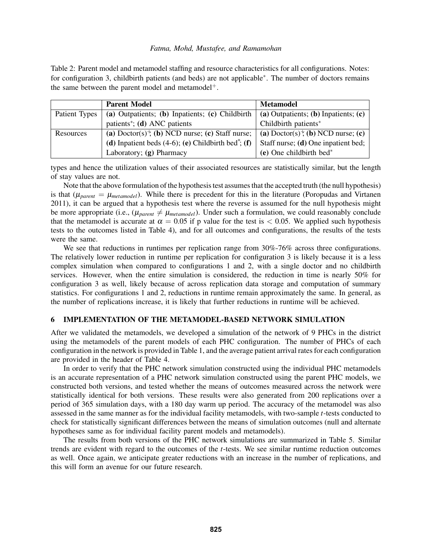<span id="page-7-0"></span>Table 2: Parent model and metamodel staffing and resource characteristics for all configurations. Notes: for configuration 3, childbirth patients (and beds) are not applicable<sup>∗</sup> . The number of doctors remains the same between the parent model and metamodel<sup>+</sup>.

|               | <b>Parent Model</b>                                                             | <b>Metamodel</b>                                           |
|---------------|---------------------------------------------------------------------------------|------------------------------------------------------------|
| Patient Types | (a) Outpatients; (b) Inpatients; (c) Childbirth                                 | (a) Outpatients; (b) Inpatients; $(c)$                     |
|               | patients <sup>*</sup> ; (d) ANC patients                                        | Childbirth patients*                                       |
| Resources     | (a) Doctor(s) <sup><math>\dagger</math></sup> , (b) NCD nurse; (c) Staff nurse; | (a) Doctor(s) <sup><math>+</math></sup> (b) NCD nurse; (c) |
|               | (d) Inpatient beds $(4-6)$ ; (e) Childbirth bed <sup>*</sup> ; (f)              | Staff nurse; (d) One inpatient bed;                        |
|               | Laboratory; (g) Pharmacy                                                        | $(e)$ One childbirth bed*                                  |

types and hence the utilization values of their associated resources are statistically similar, but the length of stay values are not.

Note that the above formulation of the hypothesis test assumes that the accepted truth (the null hypothesis) is that  $(\mu_{parent} = \mu_{metamodel})$ . While there is precedent for this in the literature [\(Poropudas and Virtanen](#page-11-14) [2011\)](#page-11-14), it can be argued that a hypothesis test where the reverse is assumed for the null hypothesis might be more appropriate (i.e.,  $(\mu_{parent} \neq \mu_{metamodel})$ . Under such a formulation, we could reasonably conclude that the metamodel is accurate at  $\alpha = 0.05$  if p value for the test is  $< 0.05$ . We applied such hypothesis tests to the outcomes listed in Table [4\)](#page-9-0), and for all outcomes and configurations, the results of the tests were the same.

We see that reductions in runtimes per replication range from 30%-76% across three configurations. The relatively lower reduction in runtime per replication for configuration 3 is likely because it is a less complex simulation when compared to configurations 1 and 2, with a single doctor and no childbirth services. However, when the entire simulation is considered, the reduction in time is nearly 50% for configuration 3 as well, likely because of across replication data storage and computation of summary statistics. For configurations 1 and 2, reductions in runtime remain approximately the same. In general, as the number of replications increase, it is likely that further reductions in runtime will be achieved.

## 6 IMPLEMENTATION OF THE METAMODEL-BASED NETWORK SIMULATION

After we validated the metamodels, we developed a simulation of the network of 9 PHCs in the district using the metamodels of the parent models of each PHC configuration. The number of PHCs of each configuration in the network is provided in Table [1,](#page-4-0) and the average patient arrival rates for each configuration are provided in the header of Table [4.](#page-9-0)

In order to verify that the PHC network simulation constructed using the individual PHC metamodels is an accurate representation of a PHC network simulation constructed using the parent PHC models, we constructed both versions, and tested whether the means of outcomes measured across the network were statistically identical for both versions. These results were also generated from 200 replications over a period of 365 simulation days, with a 180 day warm up period. The accuracy of the metamodel was also assessed in the same manner as for the individual facility metamodels, with two-sample *t*-tests conducted to check for statistically significant differences between the means of simulation outcomes (null and alternate hypotheses same as for individual facility parent models and metamodels).

The results from both versions of the PHC network simulations are summarized in Table [5.](#page-10-12) Similar trends are evident with regard to the outcomes of the *t*-tests. We see similar runtime reduction outcomes as well. Once again, we anticipate greater reductions with an increase in the number of replications, and this will form an avenue for our future research.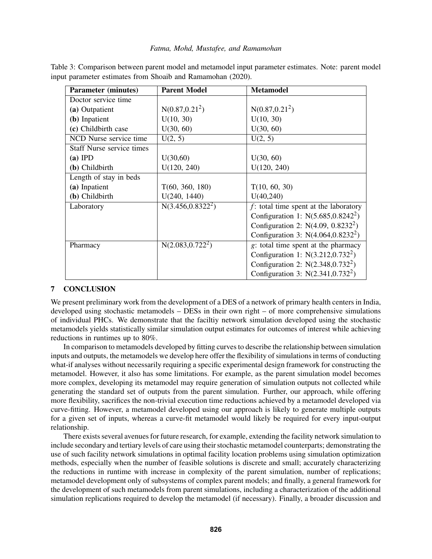| <b>Parameter (minutes)</b>       | <b>Parent Model</b>            | <b>Metamodel</b>                         |
|----------------------------------|--------------------------------|------------------------------------------|
| Doctor service time              |                                |                                          |
| (a) Outpatient                   | $N(0.87, 0.21^2)$              | $N(0.87, 0.21^2)$                        |
| (b) Inpatient                    | U(10, 30)                      | U(10, 30)                                |
| (c) Childbirth case              | U(30, 60)                      | U(30, 60)                                |
| NCD Nurse service time           | U(2, 5)                        | U(2, 5)                                  |
| <b>Staff Nurse service times</b> |                                |                                          |
| $(a)$ IPD                        | U(30,60)                       | U(30, 60)                                |
| (b) Childbirth                   | U(120, 240)                    | U(120, 240)                              |
| Length of stay in beds           |                                |                                          |
| (a) Inpatient                    | T(60, 360, 180)                | T(10, 60, 30)                            |
| (b) Childbirth                   | U(240, 1440)                   | U(40, 240)                               |
| Laboratory                       | $N(3.\overline{456,0.8322^2})$ | $f$ : total time spent at the laboratory |
|                                  |                                | Configuration 1: $N(5.685, 0.8242^2)$    |
|                                  |                                | Configuration 2: $N(4.09, 0.8232^2)$     |
|                                  |                                | Configuration 3: $N(4.064, 0.8232^2)$    |
| Pharmacy                         | $N(2.083, 0.722^2)$            | g: total time spent at the pharmacy      |
|                                  |                                | Configuration 1: $N(3.212, 0.732^2)$     |
|                                  |                                | Configuration 2: $N(2.348, 0.732^2)$     |
|                                  |                                | Configuration 3: $N(2.341, 0.732^2)$     |

<span id="page-8-0"></span>Table 3: Comparison between parent model and metamodel input parameter estimates. Note: parent model input parameter estimates from Shoaib and Ramamohan (2020).

# 7 CONCLUSION

We present preliminary work from the development of a DES of a network of primary health centers in India, developed using stochastic metamodels – DESs in their own right – of more comprehensive simulations of individual PHCs. We demonstrate that the faciltiy network simulation developed using the stochastic metamodels yields statistically similar simulation output estimates for outcomes of interest while achieving reductions in runtimes up to 80%.

In comparison to metamodels developed by fitting curves to describe the relationship between simulation inputs and outputs, the metamodels we develop here offer the flexibility of simulations in terms of conducting what-if analyses without necessarily requiring a specific experimental design framework for constructing the metamodel. However, it also has some limitations. For example, as the parent simulation model becomes more complex, developing its metamodel may require generation of simulation outputs not collected while generating the standard set of outputs from the parent simulation. Further, our approach, while offering more flexibility, sacrifices the non-trivial execution time reductions achieved by a metamodel developed via curve-fitting. However, a metamodel developed using our approach is likely to generate multiple outputs for a given set of inputs, whereas a curve-fit metamodel would likely be required for every input-output relationship.

There exists several avenues for future research, for example, extending the facility network simulation to include secondary and tertiary levels of care using their stochastic metamodel counterparts; demonstrating the use of such facility network simulations in optimal facility location problems using simulation optimization methods, especially when the number of feasible solutions is discrete and small; accurately characterizing the reductions in runtime with increase in complexity of the parent simulation, number of replications; metamodel development only of subsystems of complex parent models; and finally, a general framework for the development of such metamodels from parent simulations, including a characterization of the additional simulation replications required to develop the metamodel (if necessary). Finally, a broader discussion and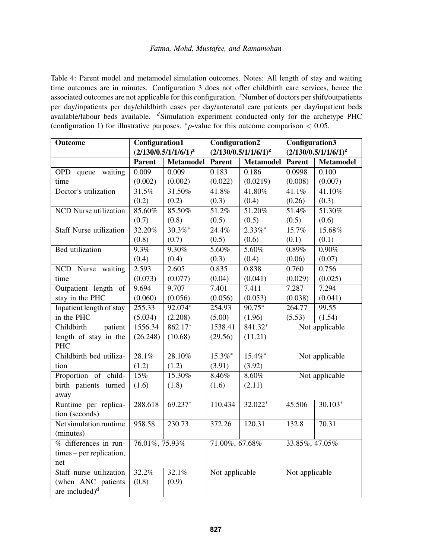<span id="page-9-0"></span>Table 4: Parent model and metamodel simulation outcomes. Notes: All length of stay and waiting time outcomes are in minutes. Configuration 3 does not offer childbirth care services, hence the associated outcomes are not applicable for this configuration. <sup>*z*</sup>Number of doctors per shift/outpatients per day/inpatients per day/childbirth cases per day/antenatal care patients per day/inpatient beds available/labour beds available. *<sup>d</sup>*Simulation experiment conducted only for the archetype PHC (configuration 1) for illustrative purposes. <sup>∗</sup> *p*-value for this outcome comparison < 0.05.

| Outcome                             | <b>Configuration1</b> |                           | <b>Configuration2</b>     |                  | <b>Configuration3</b>     |                  |
|-------------------------------------|-----------------------|---------------------------|---------------------------|------------------|---------------------------|------------------|
|                                     |                       | $(2/130/0.5/1/1/6/1)^{z}$ | $(2/130/0.5/1/1/6/1)^{z}$ |                  | $(2/130/0.5/1/1/6/1)^{z}$ |                  |
|                                     | <b>Parent</b>         | <b>Metamodel</b>          | <b>Parent</b>             | <b>Metamodel</b> | <b>Parent</b>             | <b>Metamodel</b> |
| OPD queue<br>waiting                | 0.009                 | 0.009                     | 0.183                     | 0.186            | 0.0998                    | 0.100            |
| time                                | (0.002)               | (0.002)                   | (0.022)                   | (0.0219)         | (0.008)                   | (0.007)          |
| Doctor's utilization                | 31.5%                 | 31.50%                    | 41.8%                     | 41.80%           | 41.1%                     | 41.10%           |
|                                     | (0.2)                 | (0.2)                     | (0.3)                     | (0.4)            | (0.26)                    | (0.3)            |
| <b>NCD</b> Nurse utilization        | 85.60%                | 85.50%                    | 51.2%                     | 51.20%           | 51.4%                     | 51.30%           |
|                                     | (0.7)                 | (0.8)                     | (0.5)                     | (0.5)            | (0.5)                     | (0.6)            |
| <b>Staff Nurse utilization</b>      | 32.20%                | $30.3\%$ *                | 24.4%                     | $2.33\%$ *       | 15.7%                     | 15.68%           |
|                                     | (0.8)                 | (0.7)                     | (0.5)                     | (0.6)            | (0.1)                     | (0.1)            |
| <b>Bed</b> utilization              | 9.3%                  | 9.30%                     | 5.60%                     | 5.60%            | 0.89%                     | 0.90%            |
|                                     | (0.4)                 | (0.4)                     | (0.3)                     | (0.4)            | (0.06)                    | (0.07)           |
| NCD Nurse waiting                   | 2.593                 | 2.605                     | 0.835                     | 0.838            | 0.760                     | 0.756            |
| time                                | (0.073)               | (0.077)                   | (0.04)                    | (0.041)          | (0.029)                   | (0.025)          |
| Outpatient length of                | 9.694                 | 9.707                     | 7.401                     | 7.411            | 7.287                     | 7.294            |
| stay in the PHC                     | (0.060)               | (0.056)                   | (0.056)                   | (0.053)          | (0.038)                   | (0.041)          |
| Inpatient length of stay            | 255.33                | $92.074*$                 | 254.93                    | $90.75*$         | 264.77                    | 99.55            |
| in the PHC                          | (5.034)               | (2.208)                   | (5.00)                    | (1.96)           | (5.53)                    | (1.54)           |
| Childbirth<br>patient               | 1556.34               | $862.17*$                 | 1538.41                   | $841.32*$        | Not applicable            |                  |
| length of stay in the<br><b>PHC</b> | (26.248)              | (10.68)                   | (29.56)                   | (11.21)          |                           |                  |
| Childbirth bed utiliza-             | 28.1%                 | 28.10%                    | $15.3\%$ *                | $15.4\%$ *       |                           |                  |
| tion                                | (1.2)                 | (1.2)                     | (3.91)                    | (3.92)           | Not applicable            |                  |
| Proportion of child-                | 15%                   | 15.30%                    | 8.46%                     | $8.60\%$         |                           | Not applicable   |
| birth patients turned               | (1.6)                 | (1.8)                     | (1.6)                     | (2.11)           |                           |                  |
| away                                |                       |                           |                           |                  |                           |                  |
| Runtime per replica-                | 288.618               | $69.237*$                 | 110.434                   | 32.022*          | 45.506                    | $30.103*$        |
| tion (seconds)                      |                       |                           |                           |                  |                           |                  |
| Net simulation runtime              | 958.58                | 230.73                    | 372.26                    | 120.31           | 132.8                     | 70.31            |
| (minutes)                           |                       |                           |                           |                  |                           |                  |
| % differences in run-               | 76.01%, 75.93%        |                           | 71.00%, 67.68%            |                  | 33.85%, 47.05%            |                  |
| times – per replication,            |                       |                           |                           |                  |                           |                  |
| net                                 |                       |                           |                           |                  |                           |                  |
| Staff nurse utilization             | 32.2%                 | 32.1%                     | Not applicable            |                  | Not applicable            |                  |
| (when ANC patients                  | (0.8)                 | (0.9)                     |                           |                  |                           |                  |
| are included) <sup>d</sup>          |                       |                           |                           |                  |                           |                  |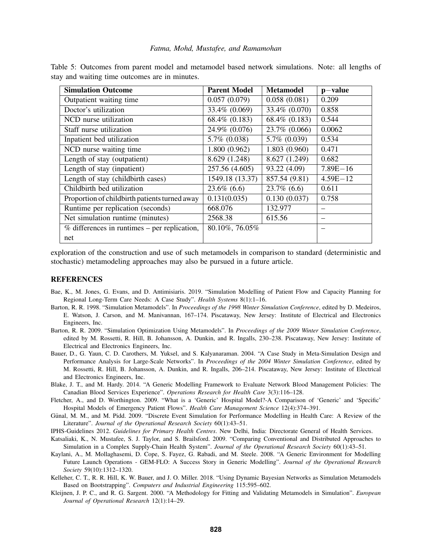| <b>Simulation Outcome</b>                                  | <b>Parent Model</b> | <b>Metamodel</b> | $p-value$    |
|------------------------------------------------------------|---------------------|------------------|--------------|
| Outpatient waiting time                                    | 0.057(0.079)        | 0.058(0.081)     | 0.209        |
| Doctor's utilization                                       | 33.4\% (0.069)      | 33.4\% (0.070)   | 0.858        |
| NCD nurse utilization                                      | 68.4% (0.183)       | 68.4% (0.183)    | 0.544        |
| Staff nurse utilization                                    | 24.9% (0.076)       | 23.7% (0.066)    | 0.0062       |
| Inpatient bed utilization                                  | 5.7% (0.038)        | 5.7% (0.039)     | 0.534        |
| NCD nurse waiting time                                     | 1.800(0.962)        | 1.803(0.960)     | 0.471        |
| Length of stay (outpatient)                                | 8.629 (1.248)       | 8.627 (1.249)    | 0.682        |
| Length of stay (inpatient)                                 | 257.56 (4.605)      | 93.22 (4.09)     | $7.89E - 16$ |
| Length of stay (childbirth cases)                          | 1549.18 (13.37)     | 857.54 (9.81)    | $4.59E - 12$ |
| Childbirth bed utilization                                 | $23.6\%$ (6.6)      | $23.7\%$ (6.6)   | 0.611        |
| Proportion of childbirth patients turned away              | 0.131(0.035)        | 0.130(0.037)     | 0.758        |
| Runtime per replication (seconds)                          | 668.076             | 132.977          |              |
| Net simulation runtime (minutes)                           | 2568.38             | 615.56           |              |
| $\overline{\%}$ differences in runtimes – per replication, | 80.10%, 76.05%      |                  |              |
| net                                                        |                     |                  |              |

<span id="page-10-12"></span>Table 5: Outcomes from parent model and metamodel based network simulations. Note: all lengths of stay and waiting time outcomes are in minutes.

exploration of the construction and use of such metamodels in comparison to standard (deterministic and stochastic) metamodeling approaches may also be pursued in a future article.

#### **REFERENCES**

- <span id="page-10-3"></span>Bae, K., M. Jones, G. Evans, and D. Antimisiaris. 2019. "Simulation Modelling of Patient Flow and Capacity Planning for Regional Long-Term Care Needs: A Case Study". *Health Systems* 8(1):1–16.
- <span id="page-10-11"></span>Barton, R. R. 1998. "Simulation Metamodels". In *Proceedings of the 1998 Winter Simulation Conference*, edited by D. Medeiros, E. Watson, J. Carson, and M. Manivannan, 167–174. Piscataway, New Jersey: Institute of Electrical and Electronics Engineers, Inc.
- <span id="page-10-8"></span>Barton, R. R. 2009. "Simulation Optimization Using Metamodels". In *Proceedings of the 2009 Winter Simulation Conference*, edited by M. Rossetti, R. Hill, B. Johansson, A. Dunkin, and R. Ingalls, 230–238. Piscataway, New Jersey: Institute of Electrical and Electronics Engineers, Inc.
- <span id="page-10-10"></span>Bauer, D., G. Yaun, C. D. Carothers, M. Yuksel, and S. Kalyanaraman. 2004. "A Case Study in Meta-Simulation Design and Performance Analysis for Large-Scale Networks". In *Proceedings of the 2004 Winter Simulation Conference*, edited by M. Rossetti, R. Hill, B. Johansson, A. Dunkin, and R. Ingalls, 206–214. Piscataway, New Jersey: Institute of Electrical and Electronics Engineers, Inc.
- <span id="page-10-1"></span>Blake, J. T., and M. Hardy. 2014. "A Generic Modelling Framework to Evaluate Network Blood Management Policies: The Canadian Blood Services Experience". *Operations Research for Health Care* 3(3):116–128.
- <span id="page-10-5"></span>Fletcher, A., and D. Worthington. 2009. "What is a 'Generic' Hospital Model?-A Comparison of 'Generic' and 'Specific' Hospital Models of Emergency Patient Flows". *Health Care Management Science* 12(4):374–391.
- <span id="page-10-6"></span>Günal, M. M., and M. Pidd. 2009. "Discrete Event Simulation for Performance Modelling in Health Care: A Review of the Literature". *Journal of the Operational Research Society* 60(1):43–51.
- <span id="page-10-0"></span>IPHS-Guidelines 2012. *Guidelines for Primary Health Centres*. New Delhi, India: Directorate General of Health Services.
- <span id="page-10-2"></span>Katsaliaki, K., N. Mustafee, S. J. Taylor, and S. Brailsford. 2009. "Comparing Conventional and Distributed Approaches to Simulation in a Complex Supply-Chain Health System". *Journal of the Operational Research Society* 60(1):43–51.
- <span id="page-10-4"></span>Kaylani, A., M. Mollaghasemi, D. Cope, S. Fayez, G. Rabadi, and M. Steele. 2008. "A Generic Environment for Modelling Future Launch Operations - GEM-FLO: A Success Story in Generic Modelling". *Journal of the Operational Research Society* 59(10):1312–1320.
- <span id="page-10-9"></span>Kelleher, C. T., R. R. Hill, K. W. Bauer, and J. O. Miller. 2018. "Using Dynamic Bayesian Networks as Simulation Metamodels Based on Bootstrapping". *Computers and Industrial Engineering* 115:595–602.
- <span id="page-10-7"></span>Kleijnen, J. P. C., and R. G. Sargent. 2000. "A Methodology for Fitting and Validating Metamodels in Simulation". *European Journal of Operational Research* 12(1):14–29.